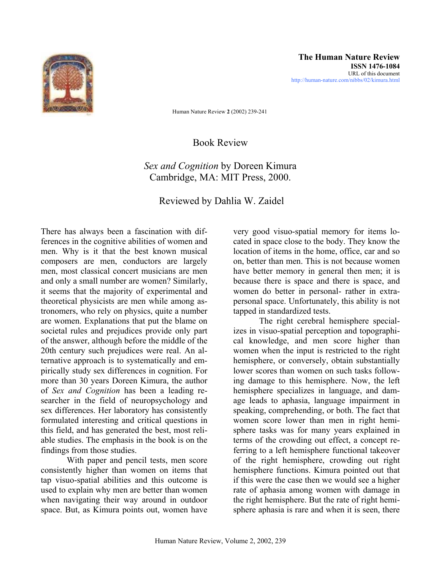

Human Nature Review **2** (2002) 239-241

Book Review

## *Sex and Cognition* by Doreen Kimura Cambridge, MA: MIT Press, 2000.

Reviewed by Dahlia W. Zaidel

There has always been a fascination with differences in the cognitive abilities of women and men. Why is it that the best known musical composers are men, conductors are largely men, most classical concert musicians are men and only a small number are women? Similarly, it seems that the majority of experimental and theoretical physicists are men while among astronomers, who rely on physics, quite a number are women. Explanations that put the blame on societal rules and prejudices provide only part of the answer, although before the middle of the 20th century such prejudices were real. An alternative approach is to systematically and empirically study sex differences in cognition. For more than 30 years Doreen Kimura, the author of *Sex and Cognition* has been a leading researcher in the field of neuropsychology and sex differences. Her laboratory has consistently formulated interesting and critical questions in this field, and has generated the best, most reliable studies. The emphasis in the book is on the findings from those studies.

With paper and pencil tests, men score consistently higher than women on items that tap visuo-spatial abilities and this outcome is used to explain why men are better than women when navigating their way around in outdoor space. But, as Kimura points out, women have

very good visuo-spatial memory for items located in space close to the body. They know the location of items in the home, office, car and so on, better than men. This is not because women have better memory in general then men; it is because there is space and there is space, and women do better in personal- rather in extrapersonal space. Unfortunately, this ability is not tapped in standardized tests.

The right cerebral hemisphere specializes in visuo-spatial perception and topographical knowledge, and men score higher than women when the input is restricted to the right hemisphere, or conversely, obtain substantially lower scores than women on such tasks following damage to this hemisphere. Now, the left hemisphere specializes in language, and damage leads to aphasia, language impairment in speaking, comprehending, or both. The fact that women score lower than men in right hemisphere tasks was for many years explained in terms of the crowding out effect, a concept referring to a left hemisphere functional takeover of the right hemisphere, crowding out right hemisphere functions. Kimura pointed out that if this were the case then we would see a higher rate of aphasia among women with damage in the right hemisphere. But the rate of right hemisphere aphasia is rare and when it is seen, there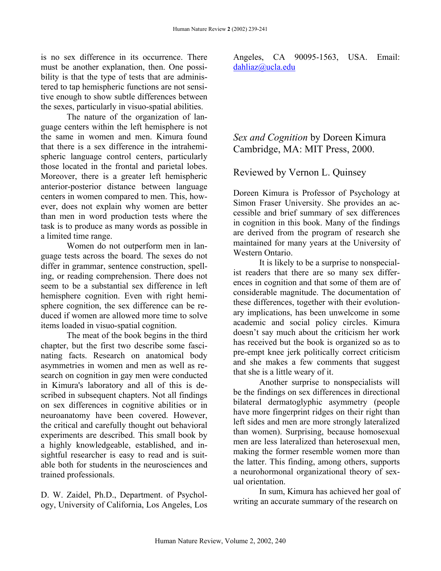is no sex difference in its occurrence. There must be another explanation, then. One possibility is that the type of tests that are administered to tap hemispheric functions are not sensitive enough to show subtle differences between the sexes, particularly in visuo-spatial abilities.

The nature of the organization of language centers within the left hemisphere is not the same in women and men. Kimura found that there is a sex difference in the intrahemispheric language control centers, particularly those located in the frontal and parietal lobes. Moreover, there is a greater left hemispheric anterior-posterior distance between language centers in women compared to men. This, however, does not explain why women are better than men in word production tests where the task is to produce as many words as possible in a limited time range.

Women do not outperform men in language tests across the board. The sexes do not differ in grammar, sentence construction, spelling, or reading comprehension. There does not seem to be a substantial sex difference in left hemisphere cognition. Even with right hemisphere cognition, the sex difference can be reduced if women are allowed more time to solve items loaded in visuo-spatial cognition.

The meat of the book begins in the third chapter, but the first two describe some fascinating facts. Research on anatomical body asymmetries in women and men as well as research on cognition in gay men were conducted in Kimura's laboratory and all of this is described in subsequent chapters. Not all findings on sex differences in cognitive abilities or in neuroanatomy have been covered. However, the critical and carefully thought out behavioral experiments are described. This small book by a highly knowledgeable, established, and insightful researcher is easy to read and is suitable both for students in the neurosciences and trained professionals.

D. W. Zaidel, Ph.D., Department. of Psychology, University of California, Los Angeles, Los Angeles, CA 90095-1563, USA. Email: [dahliaz@ucla.edu](mailto:dahliaz@ucla.edu)

## *Sex and Cognition* by Doreen Kimura Cambridge, MA: MIT Press, 2000.

## Reviewed by Vernon L. Quinsey

Doreen Kimura is Professor of Psychology at Simon Fraser University. She provides an accessible and brief summary of sex differences in cognition in this book. Many of the findings are derived from the program of research she maintained for many years at the University of Western Ontario.

It is likely to be a surprise to nonspecialist readers that there are so many sex differences in cognition and that some of them are of considerable magnitude. The documentation of these differences, together with their evolutionary implications, has been unwelcome in some academic and social policy circles. Kimura doesn't say much about the criticism her work has received but the book is organized so as to pre-empt knee jerk politically correct criticism and she makes a few comments that suggest that she is a little weary of it.

Another surprise to nonspecialists will be the findings on sex differences in directional bilateral dermatoglyphic asymmetry (people have more fingerprint ridges on their right than left sides and men are more strongly lateralized than women). Surprising, because homosexual men are less lateralized than heterosexual men, making the former resemble women more than the latter. This finding, among others, supports a neurohormonal organizational theory of sexual orientation.

In sum, Kimura has achieved her goal of writing an accurate summary of the research on